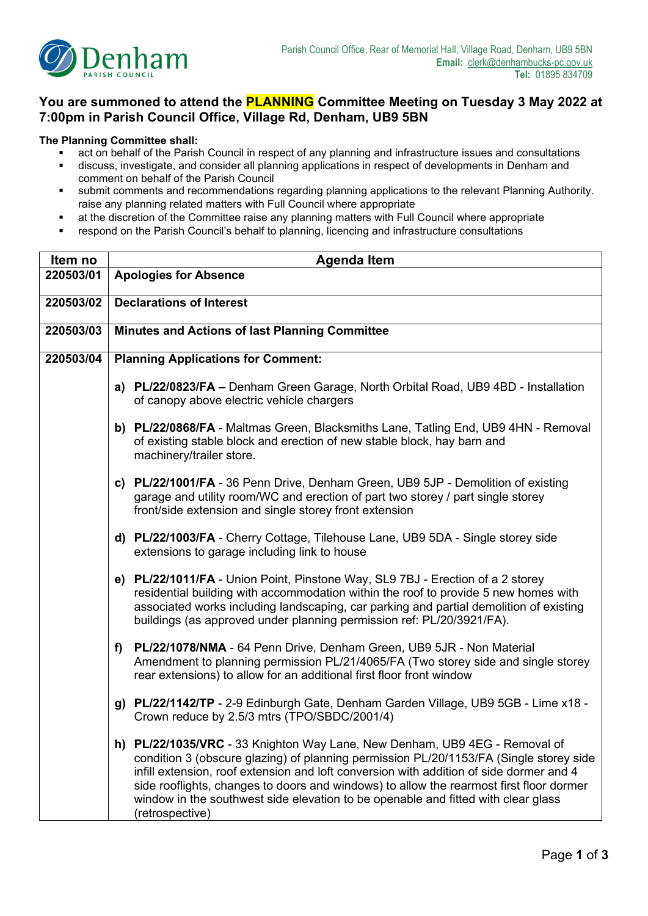

## **You are summoned to attend the PLANNING Committee Meeting on Tuesday 3 May 2022 at 7:00pm in Parish Council Office, Village Rd, Denham, UB9 5BN**

## **The Planning Committee shall:**

- act on behalf of the Parish Council in respect of any planning and infrastructure issues and consultations<br>■ discuss investigate and consider all planning applications in respect of developments in Depham and
- discuss, investigate, and consider all planning applications in respect of developments in Denham and comment on behalf of the Parish Council
- submit comments and recommendations regarding planning applications to the relevant Planning Authority. raise any planning related matters with Full Council where appropriate
- at the discretion of the Committee raise any planning matters with Full Council where appropriate
- respond on the Parish Council's behalf to planning, licencing and infrastructure consultations

| Item no   | <b>Agenda Item</b>                                                                                                                                                                                                                                                                                                                                                                                                                                                 |  |  |  |  |
|-----------|--------------------------------------------------------------------------------------------------------------------------------------------------------------------------------------------------------------------------------------------------------------------------------------------------------------------------------------------------------------------------------------------------------------------------------------------------------------------|--|--|--|--|
| 220503/01 | <b>Apologies for Absence</b>                                                                                                                                                                                                                                                                                                                                                                                                                                       |  |  |  |  |
| 220503/02 | <b>Declarations of Interest</b>                                                                                                                                                                                                                                                                                                                                                                                                                                    |  |  |  |  |
|           |                                                                                                                                                                                                                                                                                                                                                                                                                                                                    |  |  |  |  |
| 220503/03 | Minutes and Actions of last Planning Committee                                                                                                                                                                                                                                                                                                                                                                                                                     |  |  |  |  |
| 220503/04 | <b>Planning Applications for Comment:</b>                                                                                                                                                                                                                                                                                                                                                                                                                          |  |  |  |  |
|           | a) PL/22/0823/FA - Denham Green Garage, North Orbital Road, UB9 4BD - Installation<br>of canopy above electric vehicle chargers                                                                                                                                                                                                                                                                                                                                    |  |  |  |  |
|           | b) PL/22/0868/FA - Maltmas Green, Blacksmiths Lane, Tatling End, UB9 4HN - Removal<br>of existing stable block and erection of new stable block, hay barn and<br>machinery/trailer store.                                                                                                                                                                                                                                                                          |  |  |  |  |
|           | c) PL/22/1001/FA - 36 Penn Drive, Denham Green, UB9 5JP - Demolition of existing<br>garage and utility room/WC and erection of part two storey / part single storey<br>front/side extension and single storey front extension                                                                                                                                                                                                                                      |  |  |  |  |
|           | d) PL/22/1003/FA - Cherry Cottage, Tilehouse Lane, UB9 5DA - Single storey side<br>extensions to garage including link to house                                                                                                                                                                                                                                                                                                                                    |  |  |  |  |
|           | e) PL/22/1011/FA - Union Point, Pinstone Way, SL9 7BJ - Erection of a 2 storey<br>residential building with accommodation within the roof to provide 5 new homes with<br>associated works including landscaping, car parking and partial demolition of existing<br>buildings (as approved under planning permission ref: PL/20/3921/FA).                                                                                                                           |  |  |  |  |
|           | PL/22/1078/NMA - 64 Penn Drive, Denham Green, UB9 5JR - Non Material<br>f)<br>Amendment to planning permission PL/21/4065/FA (Two storey side and single storey<br>rear extensions) to allow for an additional first floor front window                                                                                                                                                                                                                            |  |  |  |  |
|           | g) PL/22/1142/TP - 2-9 Edinburgh Gate, Denham Garden Village, UB9 5GB - Lime x18 -<br>Crown reduce by 2.5/3 mtrs (TPO/SBDC/2001/4)                                                                                                                                                                                                                                                                                                                                 |  |  |  |  |
|           | h) PL/22/1035/VRC - 33 Knighton Way Lane, New Denham, UB9 4EG - Removal of<br>condition 3 (obscure glazing) of planning permission PL/20/1153/FA (Single storey side<br>infill extension, roof extension and loft conversion with addition of side dormer and 4<br>side rooflights, changes to doors and windows) to allow the rearmost first floor dormer<br>window in the southwest side elevation to be openable and fitted with clear glass<br>(retrospective) |  |  |  |  |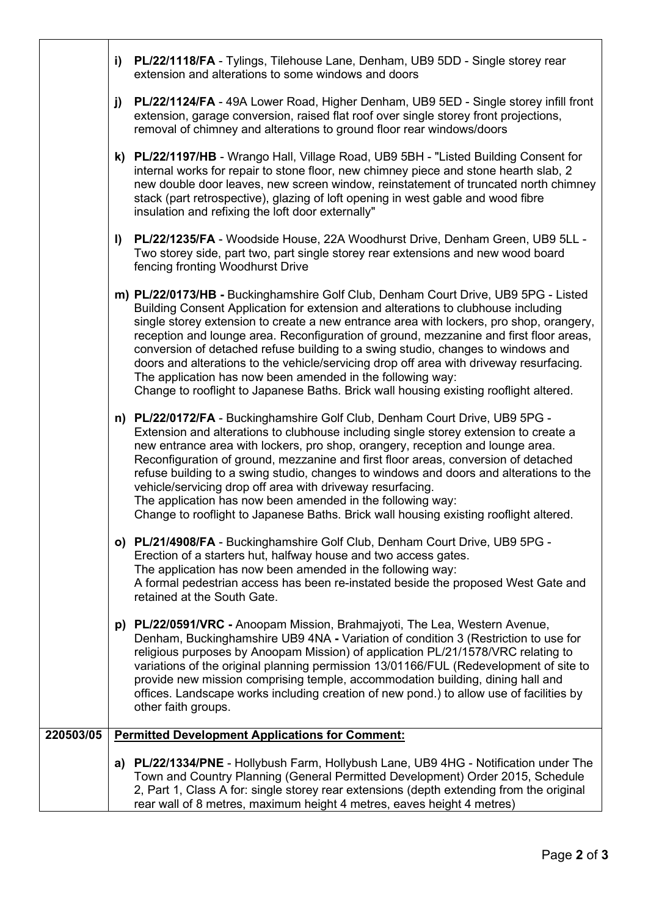|           |                                                                                                                                                                                                                                                                   | i) PL/22/1118/FA - Tylings, Tilehouse Lane, Denham, UB9 5DD - Single storey rear<br>extension and alterations to some windows and doors                                                                                                                                                                                                                                                                                                                                                                                                                                                                                                                                                            |  |  |  |
|-----------|-------------------------------------------------------------------------------------------------------------------------------------------------------------------------------------------------------------------------------------------------------------------|----------------------------------------------------------------------------------------------------------------------------------------------------------------------------------------------------------------------------------------------------------------------------------------------------------------------------------------------------------------------------------------------------------------------------------------------------------------------------------------------------------------------------------------------------------------------------------------------------------------------------------------------------------------------------------------------------|--|--|--|
|           | <b>PL/22/1124/FA</b> - 49A Lower Road, Higher Denham, UB9 5ED - Single storey infill front<br>j)<br>extension, garage conversion, raised flat roof over single storey front projections,<br>removal of chimney and alterations to ground floor rear windows/doors |                                                                                                                                                                                                                                                                                                                                                                                                                                                                                                                                                                                                                                                                                                    |  |  |  |
|           |                                                                                                                                                                                                                                                                   | k) PL/22/1197/HB - Wrango Hall, Village Road, UB9 5BH - "Listed Building Consent for<br>internal works for repair to stone floor, new chimney piece and stone hearth slab, 2<br>new double door leaves, new screen window, reinstatement of truncated north chimney<br>stack (part retrospective), glazing of loft opening in west gable and wood fibre<br>insulation and refixing the loft door externally"                                                                                                                                                                                                                                                                                       |  |  |  |
|           |                                                                                                                                                                                                                                                                   | I) PL/22/1235/FA - Woodside House, 22A Woodhurst Drive, Denham Green, UB9 5LL -<br>Two storey side, part two, part single storey rear extensions and new wood board<br>fencing fronting Woodhurst Drive                                                                                                                                                                                                                                                                                                                                                                                                                                                                                            |  |  |  |
|           |                                                                                                                                                                                                                                                                   | m) PL/22/0173/HB - Buckinghamshire Golf Club, Denham Court Drive, UB9 5PG - Listed<br>Building Consent Application for extension and alterations to clubhouse including<br>single storey extension to create a new entrance area with lockers, pro shop, orangery,<br>reception and lounge area. Reconfiguration of ground, mezzanine and first floor areas,<br>conversion of detached refuse building to a swing studio, changes to windows and<br>doors and alterations to the vehicle/servicing drop off area with driveway resurfacing.<br>The application has now been amended in the following way:<br>Change to rooflight to Japanese Baths. Brick wall housing existing rooflight altered. |  |  |  |
|           |                                                                                                                                                                                                                                                                   | n) PL/22/0172/FA - Buckinghamshire Golf Club, Denham Court Drive, UB9 5PG -<br>Extension and alterations to clubhouse including single storey extension to create a<br>new entrance area with lockers, pro shop, orangery, reception and lounge area.<br>Reconfiguration of ground, mezzanine and first floor areas, conversion of detached<br>refuse building to a swing studio, changes to windows and doors and alterations to the<br>vehicle/servicing drop off area with driveway resurfacing.<br>The application has now been amended in the following way:<br>Change to rooflight to Japanese Baths. Brick wall housing existing rooflight altered.                                         |  |  |  |
|           |                                                                                                                                                                                                                                                                   | o) PL/21/4908/FA - Buckinghamshire Golf Club, Denham Court Drive, UB9 5PG -<br>Erection of a starters hut, halfway house and two access gates.<br>The application has now been amended in the following way:<br>A formal pedestrian access has been re-instated beside the proposed West Gate and<br>retained at the South Gate.                                                                                                                                                                                                                                                                                                                                                                   |  |  |  |
|           |                                                                                                                                                                                                                                                                   | p) PL/22/0591/VRC - Anoopam Mission, Brahmajyoti, The Lea, Western Avenue,<br>Denham, Buckinghamshire UB9 4NA - Variation of condition 3 (Restriction to use for<br>religious purposes by Anoopam Mission) of application PL/21/1578/VRC relating to<br>variations of the original planning permission 13/01166/FUL (Redevelopment of site to<br>provide new mission comprising temple, accommodation building, dining hall and<br>offices. Landscape works including creation of new pond.) to allow use of facilities by<br>other faith groups.                                                                                                                                                  |  |  |  |
| 220503/05 |                                                                                                                                                                                                                                                                   | <b>Permitted Development Applications for Comment:</b>                                                                                                                                                                                                                                                                                                                                                                                                                                                                                                                                                                                                                                             |  |  |  |
|           |                                                                                                                                                                                                                                                                   | a) PL/22/1334/PNE - Hollybush Farm, Hollybush Lane, UB9 4HG - Notification under The<br>Town and Country Planning (General Permitted Development) Order 2015, Schedule<br>2, Part 1, Class A for: single storey rear extensions (depth extending from the original<br>rear wall of 8 metres, maximum height 4 metres, eaves height 4 metres)                                                                                                                                                                                                                                                                                                                                                       |  |  |  |